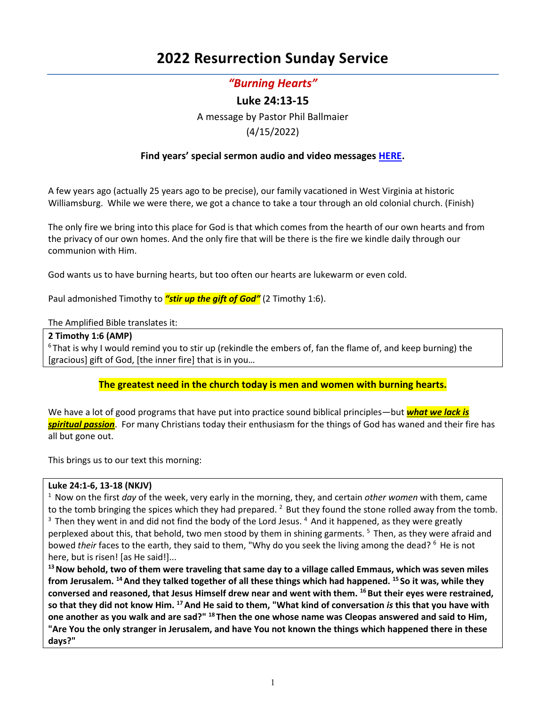# **2022 Resurrection Sunday Service**

# *"Burning Hearts"*

# **Luke 24:13-15**

A message by Pastor Phil Ballmaier

# (4/15/2022)

# **Find years' special sermon audio and video messages [HERE.](http://www.ccelkgrove.org/holiday-messages)**

A few years ago (actually 25 years ago to be precise), our family vacationed in West Virginia at historic Williamsburg. While we were there, we got a chance to take a tour through an old colonial church. (Finish)

The only fire we bring into this place for God is that which comes from the hearth of our own hearts and from the privacy of our own homes. And the only fire that will be there is the fire we kindle daily through our communion with Him.

God wants us to have burning hearts, but too often our hearts are lukewarm or even cold.

Paul admonished Timothy to *"stir up the gift of God"* (2 Timothy 1:6).

# The Amplified Bible translates it:

# **2 Timothy 1:6 (AMP)**

 $6$ That is why I would remind you to stir up (rekindle the embers of, fan the flame of, and keep burning) the [gracious] gift of God, [the inner fire] that is in you…

# **The greatest need in the church today is men and women with burning hearts.**

We have a lot of good programs that have put into practice sound biblical principles—but *what we lack is spiritual passion*. For many Christians today their enthusiasm for the things of God has waned and their fire has all but gone out.

This brings us to our text this morning:

# **Luke 24:1-6, 13-18 (NKJV)**

1 Now on the first *day* of the week, very early in the morning, they, and certain *other women* with them, came to the tomb bringing the spices which they had prepared. <sup>2</sup> But they found the stone rolled away from the tomb.  $3$  Then they went in and did not find the body of the Lord Jesus.  $4$  And it happened, as they were greatly perplexed about this, that behold, two men stood by them in shining garments. <sup>5</sup> Then, as they were afraid and bowed *their* faces to the earth, they said to them, "Why do you seek the living among the dead? <sup>6</sup> He is not here, but is risen! [as He said!]...

**13 Now behold, two of them were traveling that same day to a village called Emmaus, which was seven miles from Jerusalem. 14 And they talked together of all these things which had happened. 15 So it was, while they conversed and reasoned, that Jesus Himself drew near and went with them. 16 But their eyes were restrained, so that they did not know Him. 17 And He said to them, "What kind of conversation** *is* **this that you have with one another as you walk and are sad?" 18 Then the one whose name was Cleopas answered and said to Him, "Are You the only stranger in Jerusalem, and have You not known the things which happened there in these days?"**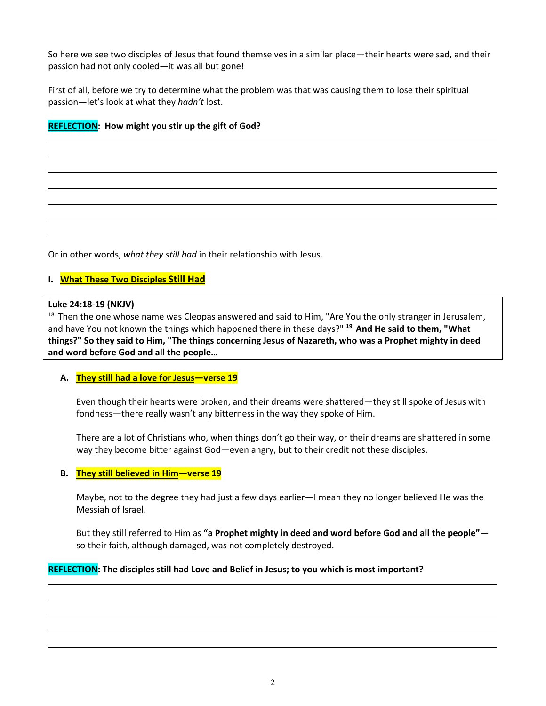So here we see two disciples of Jesus that found themselves in a similar place—their hearts were sad, and their passion had not only cooled—it was all but gone!

First of all, before we try to determine what the problem was that was causing them to lose their spiritual passion—let's look at what they *hadn't* lost.

# **REFLECTION: How might you stir up the gift of God?**

Or in other words, *what they still had* in their relationship with Jesus.

# **I. What These Two Disciples Still Had**

#### **Luke 24:18-19 (NKJV)**

<sup>18</sup> Then the one whose name was Cleopas answered and said to Him, "Are You the only stranger in Jerusalem, and have You not known the things which happened there in these days?" **19 And He said to them, "What things?" So they said to Him, "The things concerning Jesus of Nazareth, who was a Prophet mighty in deed and word before God and all the people…**

#### **A. They still had a love for Jesus—verse 19**

Even though their hearts were broken, and their dreams were shattered—they still spoke of Jesus with fondness—there really wasn't any bitterness in the way they spoke of Him.

There are a lot of Christians who, when things don't go their way, or their dreams are shattered in some way they become bitter against God—even angry, but to their credit not these disciples.

#### **B. They still believed in Him—verse 19**

Maybe, not to the degree they had just a few days earlier—I mean they no longer believed He was the Messiah of Israel.

But they still referred to Him as **"a Prophet mighty in deed and word before God and all the people"** so their faith, although damaged, was not completely destroyed.

# **REFLECTION: The disciples still had Love and Belief in Jesus; to you which is most important?**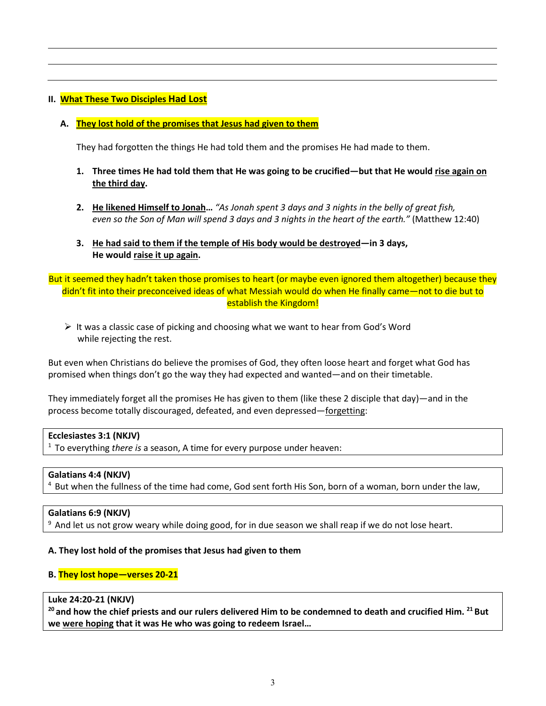# **II. What These Two Disciples Had Lost**

#### **A. They lost hold of the promises that Jesus had given to them**

They had forgotten the things He had told them and the promises He had made to them.

- **1. Three times He had told them that He was going to be crucified—but that He would rise again on the third day.**
- **2. He likened Himself to Jonah…** *"As Jonah spent 3 days and 3 nights in the belly of great fish, even so the Son of Man will spend 3 days and 3 nights in the heart of the earth."* (Matthew 12:40)
- **3. He had said to them if the temple of His body would be destroyed—in 3 days, He would raise it up again.**

But it seemed they hadn't taken those promises to heart (or maybe even ignored them altogether) because they didn't fit into their preconceived ideas of what Messiah would do when He finally came—not to die but to establish the Kingdom!

 $\triangleright$  It was a classic case of picking and choosing what we want to hear from God's Word while rejecting the rest.

But even when Christians do believe the promises of God, they often loose heart and forget what God has promised when things don't go the way they had expected and wanted—and on their timetable.

They immediately forget all the promises He has given to them (like these 2 disciple that day)—and in the process become totally discouraged, defeated, and even depressed—forgetting:

# **Ecclesiastes 3:1 (NKJV)**

1 To everything *there is* a season, A time for every purpose under heaven:

#### **Galatians 4:4 (NKJV)**

 $4$  But when the fullness of the time had come, God sent forth His Son, born of a woman, born under the law,

#### **Galatians 6:9 (NKJV)**

<sup>9</sup> And let us not grow weary while doing good, for in due season we shall reap if we do not lose heart.

#### **A. They lost hold of the promises that Jesus had given to them**

#### **B. They lost hope—verses 20-21**

#### **Luke 24:20-21 (NKJV)**

**20 and how the chief priests and our rulers delivered Him to be condemned to death and crucified Him. 21 But we were hoping that it was He who was going to redeem Israel…**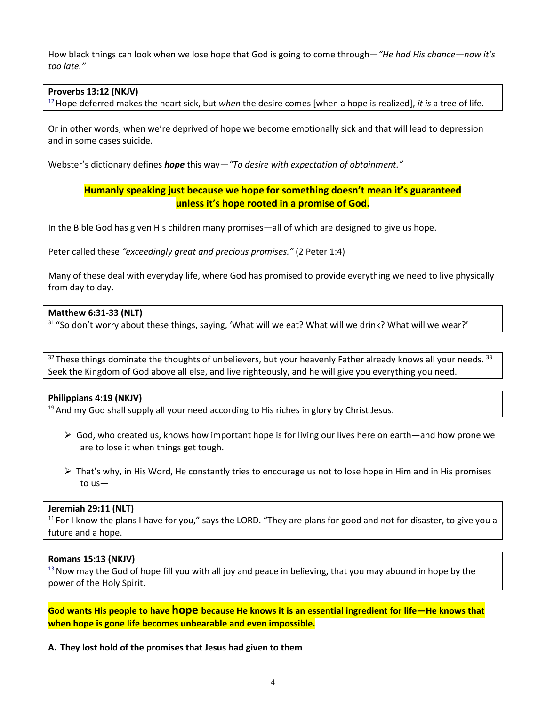How black things can look when we lose hope that God is going to come through—*"He had His chance—now it's too late."*

#### **Proverbs 13:12 (NKJV)**

12 Hope deferred makes the heart sick, but *when* the desire comes [when a hope is realized], *it is* a tree of life.

Or in other words, when we're deprived of hope we become emotionally sick and that will lead to depression and in some cases suicide.

Webster's dictionary defines *hope* this way*—"To desire with expectation of obtainment."*

# **Humanly speaking just because we hope for something doesn't mean it's guaranteed unless it's hope rooted in a promise of God.**

In the Bible God has given His children many promises—all of which are designed to give us hope.

Peter called these *"exceedingly great and precious promises."* (2 Peter 1:4)

Many of these deal with everyday life, where God has promised to provide everything we need to live physically from day to day.

#### **Matthew 6:31-33 (NLT)**

<sup>31</sup> "So don't worry about these things, saying, 'What will we eat? What will we drink? What will we wear?'

 $32$  These things dominate the thoughts of unbelievers, but your heavenly Father already knows all your needs.  $33$ Seek the Kingdom of God above all else, and live righteously, and he will give you everything you need.

# **Philippians 4:19 (NKJV)**

 $19$  And my God shall supply all your need according to His riches in glory by Christ Jesus.

- $\triangleright$  God, who created us, knows how important hope is for living our lives here on earth—and how prone we are to lose it when things get tough.
- $\triangleright$  That's why, in His Word, He constantly tries to encourage us not to lose hope in Him and in His promises to us—

#### **Jeremiah 29:11 (NLT)**

 $11$  For I know the plans I have for you," says the LORD. "They are plans for good and not for disaster, to give you a future and a hope.

# **Romans 15:13 (NKJV)**

 $13$  Now may the God of hope fill you with all joy and peace in believing, that you may abound in hope by the power of the Holy Spirit.

**God wants His people to have hope because He knows it is an essential ingredient for life—He knows that when hope is gone life becomes unbearable and even impossible.**

#### **A. They lost hold of the promises that Jesus had given to them**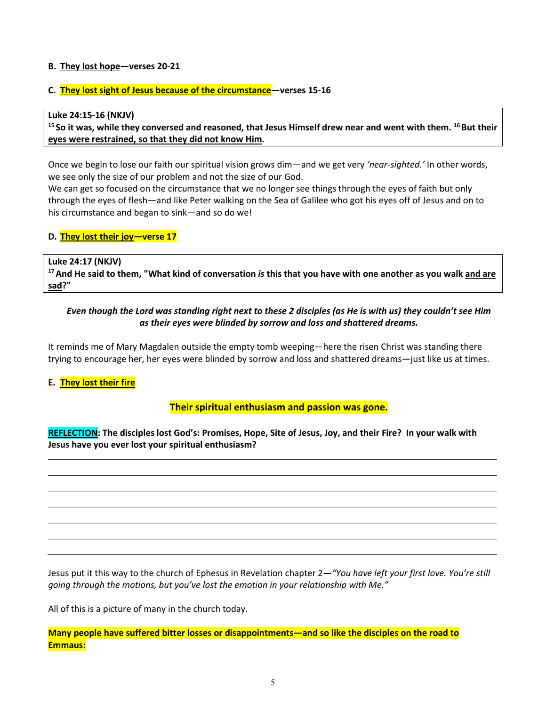#### **B. They lost hope—verses 20-21**

#### **C. They lost sight of Jesus because of the circumstance—verses 15-16**

Luke 24:15-16 (NKJV)<br><sup>15</sup> So it was, while they conversed and reasoned, that Jesus Himself drew near and went with them. <sup>16</sup> But their **eyes were restrained, so that they did not know Him.** 

Once we begin to lose our faith our spiritual vision grows dim—and we get very *'near-sighted.'* In other words, we see only the size of our problem and not the size of our God.

We can get so focused on the circumstance that we no longer see things through the eyes of faith but only through the eyes of flesh—and like Peter walking on the Sea of Galilee who got his eyes off of Jesus and on to his circumstance and began to sink—and so do we!

#### **D. They lost their joy—verse 17**

**Luke 24:17 (NKJV)** 

**17 And He said to them, "What kind of conversation** *is* **this that you have with one another as you walk and are sad?"** 

# *Even though the Lord was standing right next to these 2 disciples (as He is with us) they couldn't see Him as their eyes were blinded by sorrow and loss and shattered dreams.*

It reminds me of Mary Magdalen outside the empty tomb weeping—here the risen Christ was standing there trying to encourage her, her eyes were blinded by sorrow and loss and shattered dreams—just like us at times.

**E. They lost their fire**

# **Their spiritual enthusiasm and passion was gone.**

**REFLECTION: The disciples lost God's: Promises, Hope, Site of Jesus, Joy, and their Fire? In your walk with Jesus have you ever lost your spiritual enthusiasm?**

Jesus put it this way to the church of Ephesus in Revelation chapter 2—*"You have left your first love. You're still going through the motions, but you've lost the emotion in your relationship with Me."*

All of this is a picture of many in the church today.

**Many people have suffered bitter losses or disappointments—and so like the disciples on the road to Emmaus:**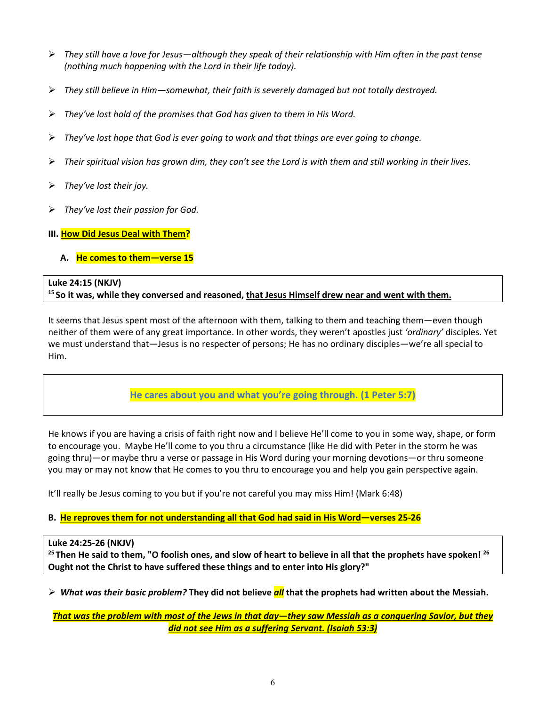- *They still have a love for Jesus—although they speak of their relationship with Him often in the past tense (nothing much happening with the Lord in their life today).*
- *They still believe in Him—somewhat, their faith is severely damaged but not totally destroyed.*
- *They've lost hold of the promises that God has given to them in His Word.*
- *They've lost hope that God is ever going to work and that things are ever going to change.*
- *Their spiritual vision has grown dim, they can't see the Lord is with them and still working in their lives.*
- *They've lost their joy.*
- *They've lost their passion for God.*
- **III. How Did Jesus Deal with Them?**
	- **A. He comes to them—verse 15**

#### **Luke 24:15 (NKJV)**

# <sup>15</sup> So it was, while they conversed and reasoned, that Jesus Himself drew near and went with them.

It seems that Jesus spent most of the afternoon with them, talking to them and teaching them—even though neither of them were of any great importance. In other words, they weren't apostles just *'ordinary'* disciples. Yet we must understand that—Jesus is no respecter of persons; He has no ordinary disciples—we're all special to Him.

# **He cares about you and what you're going through. (1 Peter 5:7)**

He knows if you are having a crisis of faith right now and I believe He'll come to you in some way, shape, or form to encourage you. Maybe He'll come to you thru a circumstance (like He did with Peter in the storm he was going thru)—or maybe thru a verse or passage in His Word during your morning devotions—or thru someone you may or may not know that He comes to you thru to encourage you and help you gain perspective again.

It'll really be Jesus coming to you but if you're not careful you may miss Him! (Mark 6:48)

# **B. He reproves them for not understanding all that God had said in His Word—verses 25-26**

# **Luke 24:25-26 (NKJV)**

**25 Then He said to them, "O foolish ones, and slow of heart to believe in all that the prophets have spoken! 26 Ought not the Christ to have suffered these things and to enter into His glory?"** 

*What was their basic problem?* **They did not believe** *all* **that the prophets had written about the Messiah.** 

*That was the problem with most of the Jews in that day—they saw Messiah as a conquering Savior, but they did not see Him as a suffering Servant. (Isaiah 53:3)*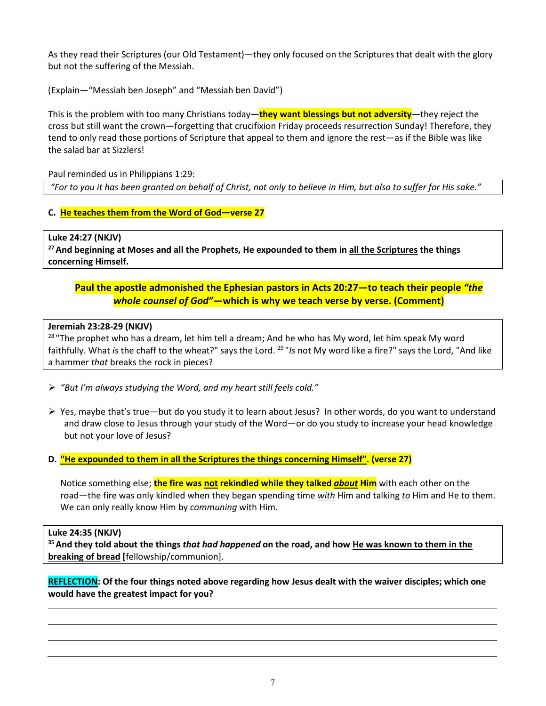As they read their Scriptures (our Old Testament)—they only focused on the Scriptures that dealt with the glory but not the suffering of the Messiah.

(Explain—"Messiah ben Joseph" and "Messiah ben David")

This is the problem with too many Christians today—**they want blessings but not adversity**—they reject the cross but still want the crown—forgetting that crucifixion Friday proceeds resurrection Sunday! Therefore, they tend to only read those portions of Scripture that appeal to them and ignore the rest—as if the Bible was like the salad bar at Sizzlers!

Paul reminded us in Philippians 1:29:

*"For to you it has been granted on behalf of Christ, not only to believe in Him, but also to suffer for His sake."*

# **C. He teaches them from the Word of God—verse 27**

# **Luke 24:27 (NKJV)**

**27 And beginning at Moses and all the Prophets, He expounded to them in all the Scriptures the things concerning Himself.** 

# **Paul the apostle admonished the Ephesian pastors in Acts 20:27—to teach their people** *"the whole counsel of God"—***which is why we teach verse by verse. (Comment)**

# **Jeremiah 23:28-29 (NKJV)**

<sup>28</sup> "The prophet who has a dream, let him tell a dream; And he who has My word, let him speak My word faithfully. What *is* the chaff to the wheat?" says the Lord. 29 "*Is* not My word like a fire?" says the Lord, "And like a hammer *that* breaks the rock in pieces?

- *"But I'm always studying the Word, and my heart still feels cold."*
- $\triangleright$  Yes, maybe that's true—but do you study it to learn about Jesus? In other words, do you want to understand and draw close to Jesus through your study of the Word—or do you study to increase your head knowledge but not your love of Jesus?
- **D. "He expounded to them in all the Scriptures the things concerning Himself". (verse 27)**

Notice something else; **the fire was not rekindled while they talked** *about* **Him** with each other on the road—the fire was only kindled when they began spending time *with* Him and talking *to* Him and He to them. We can only really know Him by *communing* with Him.

# **Luke 24:35 (NKJV)**

**35 And they told about the things** *that had happened* **on the road, and how He was known to them in the breaking of bread [**fellowship/communion].

**REFLECTION: Of the four things noted above regarding how Jesus dealt with the waiver disciples; which one would have the greatest impact for you?**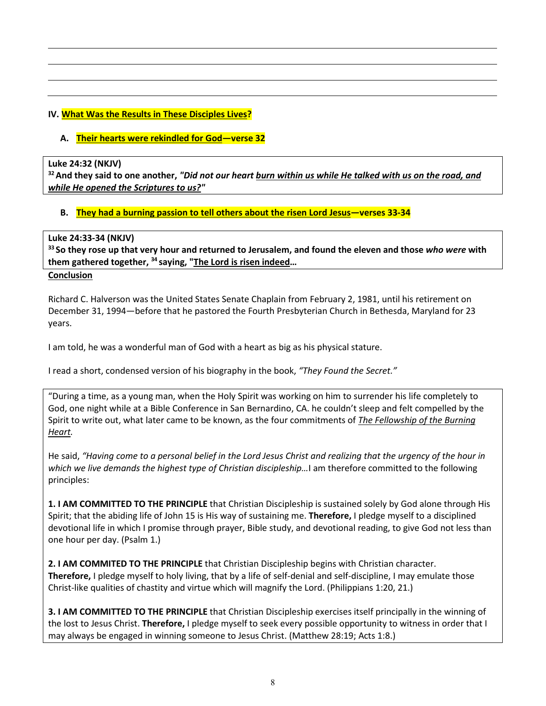# **IV. What Was the Results in These Disciples Lives?**

#### **A. Their hearts were rekindled for God—verse 32**

#### **Luke 24:32 (NKJV)**

**32 And they said to one another,** *"Did not our heart burn within us while He talked with us on the road, and while He opened the Scriptures to us?"*

#### **B. They had a burning passion to tell others about the risen Lord Jesus—verses 33-34**

#### **Luke 24:33-34 (NKJV)**

**33 So they rose up that very hour and returned to Jerusalem, and found the eleven and those** *who were* **with them gathered together, 34 saying, "The Lord is risen indeed…** 

#### **Conclusion**

Richard C. Halverson was the United States Senate Chaplain from February 2, 1981, until his retirement on December 31, 1994—before that he pastored the [Fourth Presbyterian Church](http://en.wikipedia.org/w/index.php?title=Fourth_Presbyterian_Church_%28Bethesda%29&action=edit&redlink=1) i[n Bethesda, Maryland](http://en.wikipedia.org/wiki/Bethesda,_Maryland) for 23 years.

I am told, he was a wonderful man of God with a heart as big as his physical stature.

I read a short, condensed version of his biography in the book, *"They Found the Secret."*

"During a time, as a young man, when the Holy Spirit was working on him to surrender his life completely to God, one night while at a Bible Conference in San Bernardino, CA. he couldn't sleep and felt compelled by the Spirit to write out, what later came to be known, as the four commitments of *The Fellowship of the Burning Heart.*

He said, *"Having come to a personal belief in the Lord Jesus Christ and realizing that the urgency of the hour in which we live demands the highest type of Christian discipleship…*I am therefore committed to the following principles:

**1. I AM COMMITTED TO THE PRINCIPLE** that Christian Discipleship is sustained solely by God alone through His Spirit; that the abiding life of John 15 is His way of sustaining me. **Therefore,** I pledge myself to a disciplined devotional life in which I promise through prayer, Bible study, and devotional reading, to give God not less than one hour per day. (Psalm 1.)

**2. I AM COMMITED TO THE PRINCIPLE** that Christian Discipleship begins with Christian character. **Therefore,** I pledge myself to holy living, that by a life of self-denial and self-discipline, I may emulate those Christ-like qualities of chastity and virtue which will magnify the Lord. (Philippians 1:20, 21.)

**3. I AM COMMITTED TO THE PRINCIPLE** that Christian Discipleship exercises itself principally in the winning of the lost to Jesus Christ. **Therefore,** I pledge myself to seek every possible opportunity to witness in order that I may always be engaged in winning someone to Jesus Christ. (Matthew 28:19; Acts 1:8.)